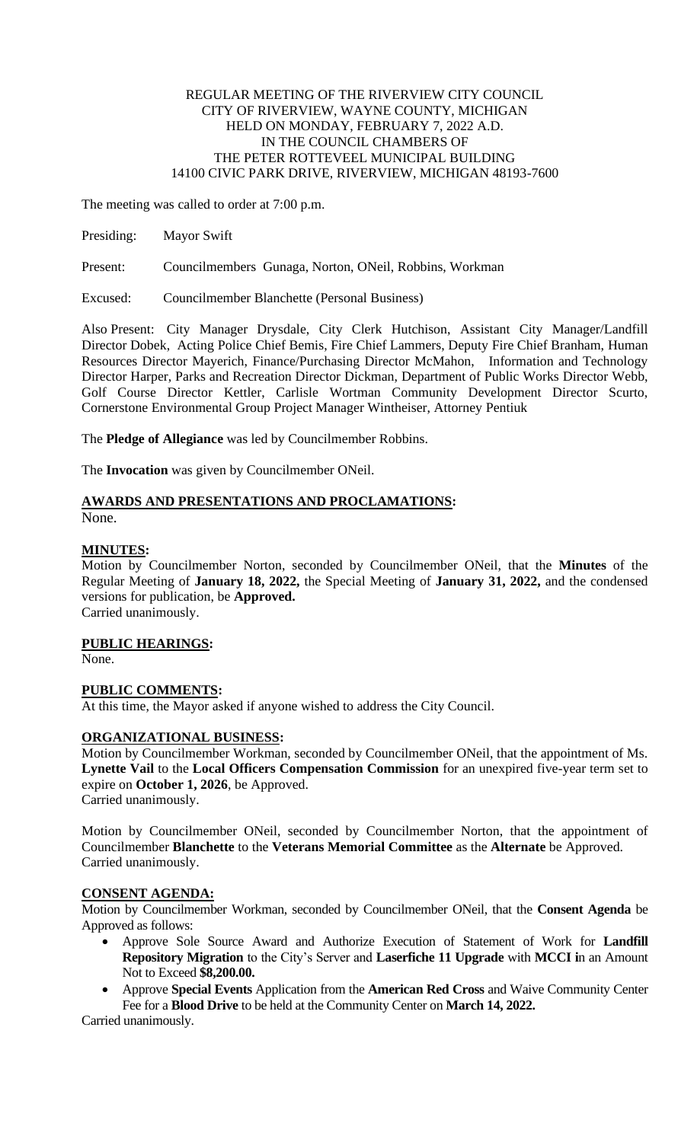### REGULAR MEETING OF THE RIVERVIEW CITY COUNCIL CITY OF RIVERVIEW, WAYNE COUNTY, MICHIGAN HELD ON MONDAY, FEBRUARY 7, 2022 A.D. IN THE COUNCIL CHAMBERS OF THE PETER ROTTEVEEL MUNICIPAL BUILDING 14100 CIVIC PARK DRIVE, RIVERVIEW, MICHIGAN 48193-7600

The meeting was called to order at 7:00 p.m.

Presiding: Mayor Swift

Present: Councilmembers Gunaga, Norton, ONeil, Robbins, Workman

Excused: Councilmember Blanchette (Personal Business)

Also Present: City Manager Drysdale, City Clerk Hutchison, Assistant City Manager/Landfill Director Dobek, Acting Police Chief Bemis, Fire Chief Lammers, Deputy Fire Chief Branham, Human Resources Director Mayerich, Finance/Purchasing Director McMahon, Information and Technology Director Harper, Parks and Recreation Director Dickman, Department of Public Works Director Webb, Golf Course Director Kettler, Carlisle Wortman Community Development Director Scurto, Cornerstone Environmental Group Project Manager Wintheiser, Attorney Pentiuk

The **Pledge of Allegiance** was led by Councilmember Robbins.

The **Invocation** was given by Councilmember ONeil.

# **AWARDS AND PRESENTATIONS AND PROCLAMATIONS:**

None.

#### **MINUTES:**

Motion by Councilmember Norton, seconded by Councilmember ONeil, that the **Minutes** of the Regular Meeting of **January 18, 2022,** the Special Meeting of **January 31, 2022,** and the condensed versions for publication, be **Approved.** Carried unanimously.

**PUBLIC HEARINGS:**

None.

## **PUBLIC COMMENTS:**

At this time, the Mayor asked if anyone wished to address the City Council.

## **ORGANIZATIONAL BUSINESS:**

Motion by Councilmember Workman, seconded by Councilmember ONeil, that the appointment of Ms. **Lynette Vail** to the **Local Officers Compensation Commission** for an unexpired five-year term set to expire on **October 1, 2026**, be Approved. Carried unanimously.

Motion by Councilmember ONeil, seconded by Councilmember Norton, that the appointment of Councilmember **Blanchette** to the **Veterans Memorial Committee** as the **Alternate** be Approved.

# **CONSENT AGENDA:**

Carried unanimously.

Motion by Councilmember Workman, seconded by Councilmember ONeil, that the **Consent Agenda** be Approved as follows:

- Approve Sole Source Award and Authorize Execution of Statement of Work for **Landfill Repository Migration** to the City's Server and **Laserfiche 11 Upgrade** with **MCCI i**n an Amount Not to Exceed **\$8,200.00.**
- Approve **Special Events** Application from the **American Red Cross** and Waive Community Center Fee for a **Blood Drive** to be held at the Community Center on **March 14, 2022.**

Carried unanimously.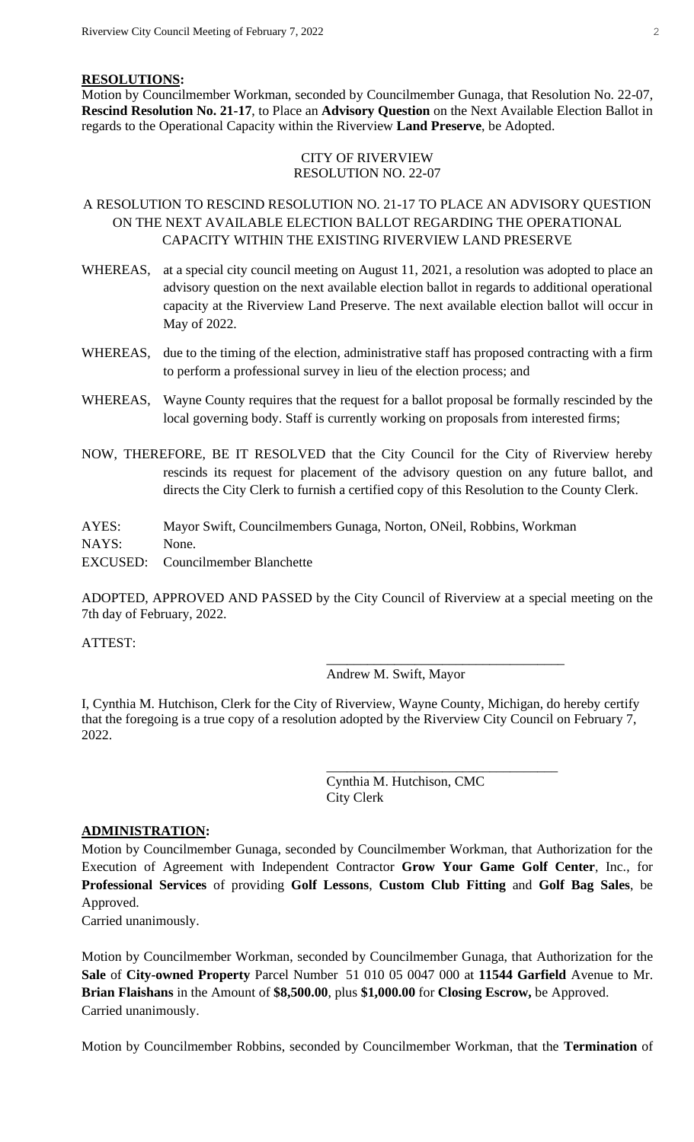#### **RESOLUTIONS:**

Motion by Councilmember Workman, seconded by Councilmember Gunaga, that Resolution No. 22-07, **Rescind Resolution No. 21-17**, to Place an **Advisory Question** on the Next Available Election Ballot in regards to the Operational Capacity within the Riverview **Land Preserve**, be Adopted.

### CITY OF RIVERVIEW RESOLUTION NO. 22-07

## A RESOLUTION TO RESCIND RESOLUTION NO. 21-17 TO PLACE AN ADVISORY QUESTION ON THE NEXT AVAILABLE ELECTION BALLOT REGARDING THE OPERATIONAL CAPACITY WITHIN THE EXISTING RIVERVIEW LAND PRESERVE

- WHEREAS, at a special city council meeting on August 11, 2021, a resolution was adopted to place an advisory question on the next available election ballot in regards to additional operational capacity at the Riverview Land Preserve. The next available election ballot will occur in May of 2022.
- WHEREAS, due to the timing of the election, administrative staff has proposed contracting with a firm to perform a professional survey in lieu of the election process; and
- WHEREAS, Wayne County requires that the request for a ballot proposal be formally rescinded by the local governing body. Staff is currently working on proposals from interested firms;
- NOW, THEREFORE, BE IT RESOLVED that the City Council for the City of Riverview hereby rescinds its request for placement of the advisory question on any future ballot, and directs the City Clerk to furnish a certified copy of this Resolution to the County Clerk.
- AYES: Mayor Swift, Councilmembers Gunaga, Norton, ONeil, Robbins, Workman

NAYS: None.

EXCUSED: Councilmember Blanchette

ADOPTED, APPROVED AND PASSED by the City Council of Riverview at a special meeting on the 7th day of February, 2022.

ATTEST:

#### Andrew M. Swift, Mayor

\_\_\_\_\_\_\_\_\_\_\_\_\_\_\_\_\_\_\_\_\_\_\_\_\_\_\_\_\_\_\_\_\_\_\_

\_\_\_\_\_\_\_\_\_\_\_\_\_\_\_\_\_\_\_\_\_\_\_\_\_\_\_\_\_\_\_\_\_\_

I, Cynthia M. Hutchison, Clerk for the City of Riverview, Wayne County, Michigan, do hereby certify that the foregoing is a true copy of a resolution adopted by the Riverview City Council on February 7, 2022.

> Cynthia M. Hutchison, CMC City Clerk

#### **ADMINISTRATION:**

Motion by Councilmember Gunaga, seconded by Councilmember Workman, that Authorization for the Execution of Agreement with Independent Contractor **Grow Your Game Golf Center**, Inc., for **Professional Services** of providing **Golf Lessons**, **Custom Club Fitting** and **Golf Bag Sales**, be Approved.

Carried unanimously.

Motion by Councilmember Workman, seconded by Councilmember Gunaga, that Authorization for the **Sale** of **City-owned Property** Parcel Number 51 010 05 0047 000 at **11544 Garfield** Avenue to Mr. **Brian Flaishans** in the Amount of **\$8,500.00**, plus **\$1,000.00** for **Closing Escrow,** be Approved. Carried unanimously.

Motion by Councilmember Robbins, seconded by Councilmember Workman, that the **Termination** of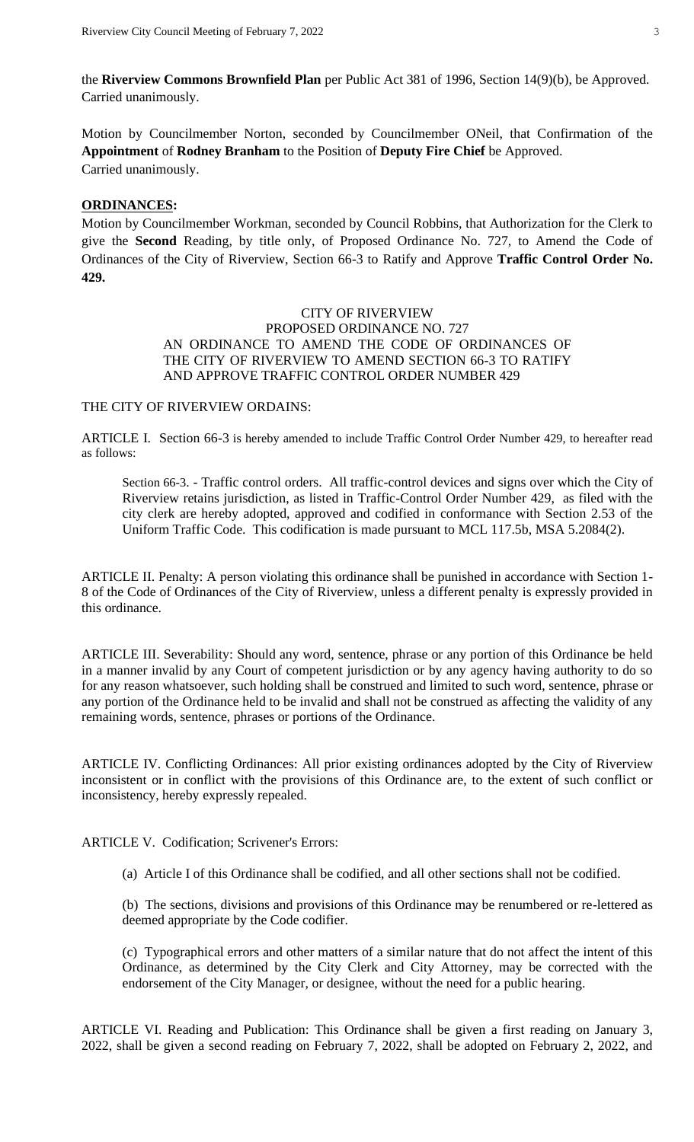the **Riverview Commons Brownfield Plan** per Public Act 381 of 1996, Section 14(9)(b), be Approved. Carried unanimously.

Motion by Councilmember Norton, seconded by Councilmember ONeil, that Confirmation of the **Appointment** of **Rodney Branham** to the Position of **Deputy Fire Chief** be Approved. Carried unanimously.

#### **ORDINANCES:**

Motion by Councilmember Workman, seconded by Council Robbins, that Authorization for the Clerk to give the **Second** Reading, by title only, of Proposed Ordinance No. 727, to Amend the Code of Ordinances of the City of Riverview, Section 66-3 to Ratify and Approve **Traffic Control Order No. 429.**

### CITY OF RIVERVIEW PROPOSED ORDINANCE NO. 727 AN ORDINANCE TO AMEND THE CODE OF ORDINANCES OF THE CITY OF RIVERVIEW TO AMEND SECTION 66-3 TO RATIFY AND APPROVE TRAFFIC CONTROL ORDER NUMBER 429

#### THE CITY OF RIVERVIEW ORDAINS:

ARTICLE I. Section 66-3 is hereby amended to include Traffic Control Order Number 429, to hereafter read as follows:

Section 66-3. - Traffic control orders. All traffic-control devices and signs over which the City of Riverview retains jurisdiction, as listed in Traffic-Control Order Number 429, as filed with the city clerk are hereby adopted, approved and codified in conformance with Section 2.53 of the Uniform Traffic Code. This codification is made pursuant to MCL 117.5b, MSA 5.2084(2).

ARTICLE II. Penalty: A person violating this ordinance shall be punished in accordance with Section 1- 8 of the Code of Ordinances of the City of Riverview, unless a different penalty is expressly provided in this ordinance.

ARTICLE III. Severability: Should any word, sentence, phrase or any portion of this Ordinance be held in a manner invalid by any Court of competent jurisdiction or by any agency having authority to do so for any reason whatsoever, such holding shall be construed and limited to such word, sentence, phrase or any portion of the Ordinance held to be invalid and shall not be construed as affecting the validity of any remaining words, sentence, phrases or portions of the Ordinance.

ARTICLE IV. Conflicting Ordinances: All prior existing ordinances adopted by the City of Riverview inconsistent or in conflict with the provisions of this Ordinance are, to the extent of such conflict or inconsistency, hereby expressly repealed.

ARTICLE V. Codification; Scrivener's Errors:

(a) Article I of this Ordinance shall be codified, and all other sections shall not be codified.

(b) The sections, divisions and provisions of this Ordinance may be renumbered or re-lettered as deemed appropriate by the Code codifier.

(c) Typographical errors and other matters of a similar nature that do not affect the intent of this Ordinance, as determined by the City Clerk and City Attorney, may be corrected with the endorsement of the City Manager, or designee, without the need for a public hearing.

ARTICLE VI. Reading and Publication: This Ordinance shall be given a first reading on January 3, 2022, shall be given a second reading on February 7, 2022, shall be adopted on February 2, 2022, and